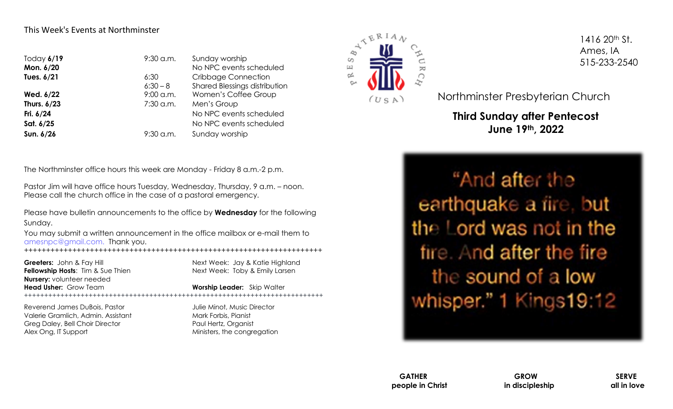#### This Week's Events at Northminster

| Today $6/19$<br>Mon. 6/20 | $9:30$ a.m. | Sunday worship<br>No NPC events scheduled |  |
|---------------------------|-------------|-------------------------------------------|--|
| Tues. 6/21                | 6:30        | <b>Cribbage Connection</b>                |  |
|                           | $6:30-8$    | Shared Blessings distribution             |  |
| Wed. 6/22                 | $9:00$ a.m. | Women's Coffee Group                      |  |
| Thurs. 6/23               | 7:30 a.m.   | Men's Group                               |  |
| Fri. 6/24                 |             | No NPC events scheduled                   |  |
| Sat. 6/25                 |             | No NPC events scheduled                   |  |
| Sun. 6/26                 | $9:30$ a.m. | Sunday worship                            |  |

The Northminster office hours this week are Monday - Friday 8 a.m.-2 p.m.

Pastor Jim will have office hours Tuesday, Wednesday, Thursday, 9 a.m. – noon. Please call the church office in the case of a pastoral emergency.

Please have bulletin announcements to the office by **Wednesday** for the following Sunday.

You may submit a written announcement in the office mailbox or e-mail them to amesnpc@gmail.com. Thank you.

*++++++++++++++++++++++++++++++++++++++++++++++++++++++++++++++++++++*

**Fellowship Hosts:** Tim & Sue Thien Next Week: Toby & Emily Larsen **Nursery:** volunteer needed **Head Usher:** Grow Team **Worship Leader:** Skip Walter

**Greeters:** John & Fay Hill **Next Week: Jay & Katie Highland** 

++++++++++++++++++++++++++++++++++++++++++++++++++++++++++++++++++++++++++

Reverend James DuBois, Pastor **Guides Access 1996** Julie Minot, Music Director Valerie Gramlich, Admin. Assistant Mark Forbis, Pianist Greg Daley, Bell Choir Director **Paul Hertz**, Organist Alex Ong, IT Support **Ministers**, the congregation



1416 20th St. Ames, IA 515-233-2540

Northminster Presbyterian Church

**Third Sunday after Pentecost June 19th, 2022**

"And after the earthquake a fire, but the Lord was not in the fire. And after the fire the sound of a low whisper." 1 Kings19:12

**GATHER GROW SERVE people in Christ in discipleship all in love**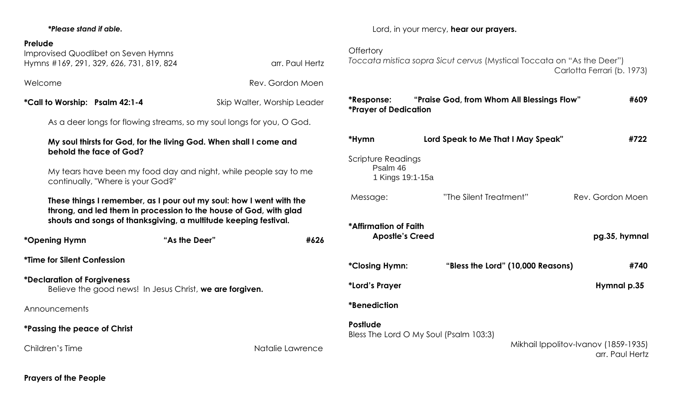#### *\*Please stand if able.*

#### **Prelude**

| Improvised Quodlibet on Seven Hymns<br>Hymns #169, 291, 329, 626, 731, 819, 824                                                                                                                             | arr. Paul Hertz             |  |  |  |
|-------------------------------------------------------------------------------------------------------------------------------------------------------------------------------------------------------------|-----------------------------|--|--|--|
| Welcome<br>Rev. Gordon Moen                                                                                                                                                                                 |                             |  |  |  |
| *Call to Worship: Psalm 42:1-4                                                                                                                                                                              | Skip Walter, Worship Leader |  |  |  |
| As a deer longs for flowing streams, so my soul longs for you, O God.                                                                                                                                       |                             |  |  |  |
| My soul thirsts for God, for the living God. When shall I come and<br>behold the face of God?                                                                                                               |                             |  |  |  |
| My tears have been my food day and night, while people say to me<br>continually, "Where is your God?"                                                                                                       |                             |  |  |  |
| These things I remember, as I pour out my soul: how I went with the<br>throng, and led them in procession to the house of God, with glad<br>shouts and songs of thanksgiving, a multitude keeping festival. |                             |  |  |  |
|                                                                                                                                                                                                             |                             |  |  |  |
| *Opening Hymn                                                                                                                                                                                               | "As the Deer"<br>#626       |  |  |  |
| <i><b>*Time for Silent Confession</b></i>                                                                                                                                                                   |                             |  |  |  |
| <i><b>*Declaration of Forgiveness</b></i><br>Believe the good news! In Jesus Christ, we are forgiven.                                                                                                       |                             |  |  |  |
| Announcements                                                                                                                                                                                               |                             |  |  |  |
| *Passing the peace of Christ                                                                                                                                                                                |                             |  |  |  |

Lord, in your mercy, **hear our prayers.**

### **Offertory**

*Toccata mistica sopra Sicut cervus* (Mystical Toccata on "As the Deer") Carlotta Ferrari (b. 1973)

| *Response:<br><i><b>*Prayer of Dedication</b></i>                | "Praise God, from Whom All Blessings Flow" | #609                                                    |  |  |
|------------------------------------------------------------------|--------------------------------------------|---------------------------------------------------------|--|--|
| *Hymn                                                            | Lord Speak to Me That I May Speak"         | #722                                                    |  |  |
| Scripture Readings<br>Psalm 46<br>1 Kings 19:1-15a               |                                            |                                                         |  |  |
| Message:                                                         | "The Silent Treatment"                     | Rev. Gordon Moen                                        |  |  |
| *Affirmation of Faith<br>pg.35, hymnal<br><b>Apostle's Creed</b> |                                            |                                                         |  |  |
| <i><b>*Closing Hymn:</b></i>                                     | "Bless the Lord" (10,000 Reasons)          | #740                                                    |  |  |
| *Lord's Prayer                                                   |                                            | Hymnal p.35                                             |  |  |
| <i><b>*Benediction</b></i>                                       |                                            |                                                         |  |  |
| <b>Postlude</b>                                                  | Bless The Lord O My Soul (Psalm 103:3)     | Mikhail Ippolitov-Ivanov (1859-1935)<br>arr. Paul Hertz |  |  |